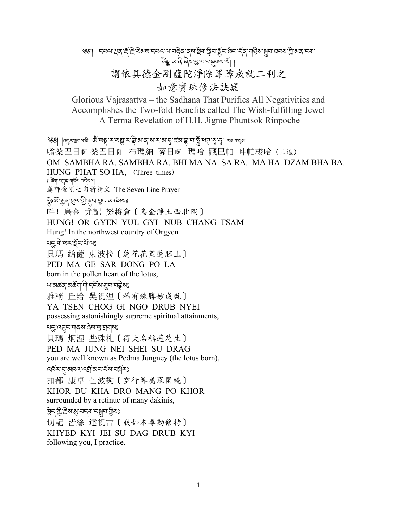## ༄༅་། དཔལ་(ན་\*ོ་,ེ་སེམས་དཔའ་ལ་བ2ེན་ནས་3ིག་6ིབ་7ོང་ཞིང་དོན་གཉིས་;བ་ཐབས་=ི་མན་ངག་ ङ्के अ'त्रे'वेष'ञ्र'प'पतुर्गाष'र्षे| | 謂依具德金剛薩陀淨除罪障成就二利之 如意寶珠修法訣竅

Glorious Vajrasattva – the Sadhana That Purifies All Negativities and Accomplishes the Two-fold Benefits called The Wish-fulfilling Jewel A Terma Revelation of H.H. Jigme Phuntsok Rinpoche

ঙ্গ্রা |ন্ল্রুমন্লশম্প । জৈঁ মন্ড্রুমেন্সেম্ক্লুমার্ক্সিঅ'ব্যম্মান্সাম্পান্দ্রাম্পুম্পে ব্যান্মুক্স 嗡桑巴日啊 桑巴日啊 布瑪納 薩日啊 瑪哈 藏巴帕 吽帕梭哈(三遍) OM SAMBHA RA. SAMBHA RA. BHI MA NA. SA RA. MA HA. DZAM BHA BA. HUNG PHAT SO HA, (Three times) ঁঃ ঙ্কুন্মান্দ্ৰেশ্বৰ্মী কৰিব কৰি 蓮師金刚七句祈請文 The Seven Line Prayer দুঃর্জা ক্কুব্ 'ധ্রুঅ'ন্ট্রা'ব্রুঅ'রার্ড অর্ক্ত অর্জ কা 吽!烏金 尤記 努將倉〔烏金淨土西北隅〕 HUNG! OR GYEN YUL GYI NUB CHANG TSAM Hung! In the northwest country of Orgyen খহুৰী অসক্ষিত যাঁও 貝瑪 給薩 東波拉〔蓮花花莖蓮胚上〕 PED MA GE SAR DONG PO LA born in the pollen heart of the lotus, ਘ'ঝৰ্ক্তব্'ঝৰ্ক্তব্য'ত্ৰী'নেইম'য়েন'নেক্লীমঃ 雅稱 丘给 吳祝涅〔稀有殊勝妙成就〕 YA TSEN CHOG GI NGO DRUB NYEI possessing astonishingly supreme spiritual attainments, ঘহ্ম ব্ছেন নাৰ্ম ৰৈম মুত্ৰানাৰঃ 貝瑪 炯涅 些殊札〔得大名稱蓮花生〕 PED MA JUNG NEI SHEI SU DRAG you are well known as Pedma Jungney (the lotus born), ন্দ্রিম্'ন্' আনন'ন্স্র্রাজ্জাম্প্রাম্প্র 扣都 康卓 芒波夠〔空行眷屬眾圍繞〕 KHOR DU KHA DRO MANG PO KHOR surrounded by a retinue of many dakinis, ট্রিন'গ্রী স্ট্রন'মুক্ত বিশেষ বিশেষ 切記 皆絲 達祝吉〔我如本尊勤修持〕 KHYED KYI JEI SU DAG DRUB KYI following you, I practice.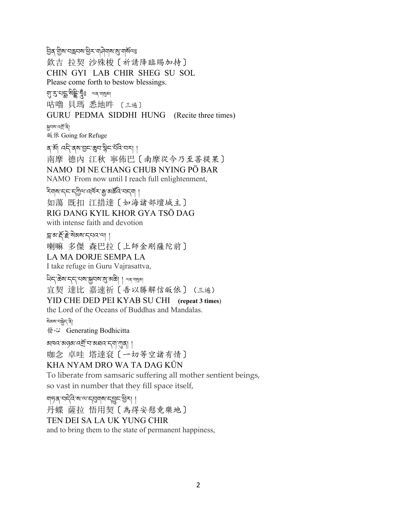ইর্স্ট্রম'নক্লনম'শ্রিস'নানিমাম'মু'নার্মন্যঃ 欽吉 拉契 沙殊梭〔祈請降臨賜加持〕 CHIN GYI LAB CHIR SHEG SU SOL Please come forth to bestow blessings. f་g་པVྨ་སིhི་Jྂཿ ལན་ག,མ། 咕嚕 貝瑪 悉地吽 〔三遍〕 GURU PEDMA SIDDHI HUNG(Recite three times) ন্নুনম'নৰ্শ্ৰ'নী 皈依 Going for Refuge ৰ'ৰ্মা বন্দৰ্ম'মুন'মুন'ৰ্মবি'ননা। 南摩 德內 江秋 寧佈巴〔南摩從今乃至菩提果〕 NAMO DI NE CHANG CHUB NYING PÖ BAR NAMO From now until I reach full enlightenment, ২িমাঝান্না নৃত্য বার্মি বার্মী । 如蕩 既扣 江措達〔如海諸部壇城主〕 RIG DANG KYIL KHOR GYA TSÖ DAG with intense faith and devotion ন্ন'ম'ৰ্ই'ক্ল'ৰ্মম'ন্ন'মে'ৰে' | 喇嘛 多傑 森巴拉〔上師金剛薩陀前〕 LA MA DORJE SEMPA LA I take refuge in Guru Vajrasattva, থিন্' ক্ৰম'ন্ন্ন' থম' মুনম'মু' মক্তী । অৰ' শমুৰ্যা 宜契 達比 嘉速祈〔吾以勝解信皈依〕(三遍) YID CHE DED PEI KYAB SU CHI **(repeat 3 times**) the Lord of the Oceans of Buddhas and Mandalas. ষ্মিৰুম নন্ত্ৰী **發心** Generating Bodhicitta ঝনমেণ্ডৰ মুৰ্ত্য কৰি বিভাগৰ পৰি । 咖念 卓哇 塔達袞〔一切等空諸有情〕 KHA NYAM DRO WA TA DAG KÜN To liberate from samsaric suffering all mother sentient beings, so vast in number that they fill space itself, গাচৰ বেইও মালা ব্ৰিমালা বহী । 丹蝶 薩拉 悟用契〔為得安慰竟樂地〕 TEN DEI SA LA UK YUNG CHIR and to bring them to the state of permanent happiness,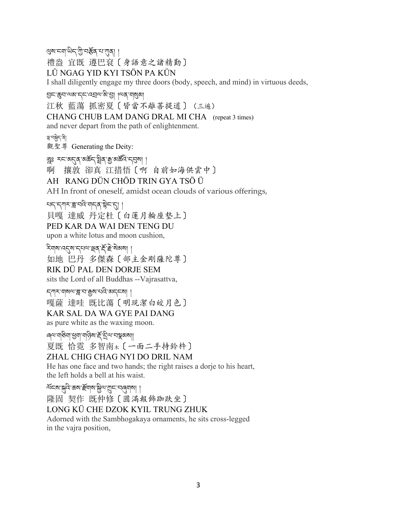থ্রম'ন্মা'থিন্'শ্রী'নর্স্কর'ণ'্যার্| ।

禮盎 宜既 遵巴袞〔身語意之諸精勤〕

LÜ NGAG YID KYI TSÖN PA KÜN

I shall diligently engage my three doors (body, speech, and mind) in virtuous deeds,

ସି୯.ୱିଧ.जञ.८८.५ଅज.२॥ जिथ.बाथिओ

江秋 藍蕩 抓密夏〔皆當不離菩提道〕(三遍)

CHANG CHUB LAM DANG DRAL MI CHA (repeat 3 times) and never depart from the path of enlightenment.

8་བ6ེད་ནི། 觀聖尊 Generating the Deity:

tྰཿ རང་མ`ན་མཆོད་vིན་Q་མཚkའི་དpས། ། 啊 攘敦 卻真 江措悟〔啊 自前如海供雲中〕 AH RANG DÜN CHÖD TRIN GYA TSÖ Ü

AH In front of oneself, amidst ocean clouds of various offerings,

चन्दानगराञ्चा अदिग्वन्दा । 貝嘎 達威 丹定杜〔白蓮月輪座墊上〕 PED KAR DA WAI DEN TENG DU upon a white lotus and moon cushion,

হিনাৰা বেৰ্মে নেৰা ব্ৰেছ কৰি কাৰ্যা

如地 巴丹 多傑森〔部主金剛薩陀尊〕

RIK DÜ PAL DEN DORJE SEM

sits the Lord of all Buddhas --Vajrasattva,

ন্সাম আৰু আৰু বিজ্ঞাপত্তি বিজ্ঞাপন কৰি 嘎薩 達哇 既比蕩〔明現潔白皎月色〕 KAR SAL DA WA GYE PAI DANG as pure white as the waxing moon.

াৰ্ম'যাউনা'শ্ৰুনা'যান্ত্ৰিম'ৰ্ই' ইন্ম' বন্ধুৰুমা৷ 夏既 恰霓 多智南木〔一面二手持鈴杵〕 ZHAL CHIG CHAG NYI DO DRIL NAM He has one face and two hands; the right raises a dorje to his heart, the left holds a bell at his waist.

শ্ৰমে:স্ক্ৰীৰ ক্ৰম স্ক্ৰীৰ আৰু স্মান কৰি আৰু বি 隆固 契作 既仲修〔圓滿報飾跏趺坐〕 LONG KÜ CHE DZOK KYIL TRUNG ZHUK Adorned with the Sambhogakaya ornaments, he sits cross-legged in the vajra position,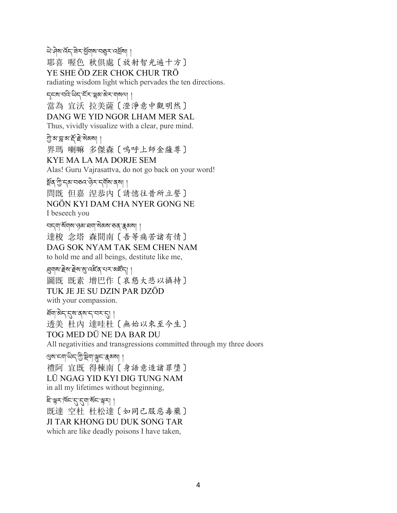ཡེ་ཤེས་འོད་ཟེར་dོགས་བÅར་འÇོས། ། 耶喜 喔色 秋俱處〔放射智光遍十方〕 YE SHE ÖD ZER CHOK CHUR TRÖ radiating wisdom light which pervades the ten directions.

Éངས་བའི་ཡིད་ངོར་Ñམ་མེར་གསལ། ། 當為 官沃 拉美薩〔澄淨意中觀明然〕 DANG WE YID NGOR LHAM MER SAL Thus, vividly visualize with a clear, pure mind. সু:ঝ'ক্ল'ম'ৰ্ই' ই'ৰ্মঝমা । 界瑪 喇嘛 多傑森〔嗚呼上師金薩尊〕 KYE MA LA MA DORJE SEM Alas! Guru Vajrasattva, do not go back on your word! গ্রুষ শ্রীদেখা ব্রন্দ ক্রিমার্জা। 問既 但嘉 涅恭內〔請憶往昔所立誓〕 NGÖN KYI DAM CHA NYER GONG NE I beseech you ঘন্ম মঁমাম রুম ঘ্রমা মী সমা কর ক্রমনা 達梭 念塔 森間南〔吾等痛苦諸有情〕 DAG SOK NYAM TAK SEM CHEN NAM

to hold me and all beings, destitute like me,

্ল্মণম'ইম'ইম'ম্' নেইব'থৰ' অৰ্হন। । 圖既 既素 增巴作〔哀懇大悲以攝持〕 TUK JE JE SU DZIN PAR DZÖD with your compassion.

ইনাজ্য- (ব্রিমার্জ ব্রিমার্জ । 透美 杜內 達哇杜〔無始以來至今生〕 TOG MED DÜ NE DA BAR DU All negativities and transgressions committed through my three doors

গ্ৰম'ম্না'থিন'গ্ৰী'ষ্ট্ৰমা'ঞ্লন' ক্কৰুৱা । 禮阿 宜既 得棟南〔身語意造諸罪墮〕 LÜ NGAG YID KYI DIG TUNG NAM in all my lifetimes without beginning,

हिन्धरार्षदारु कार्यदार्थना 既達 空杜 杜松達〔如同已服惡毒藥〕 JI TAR KHONG DU DUK SONG TAR which are like deadly poisons I have taken,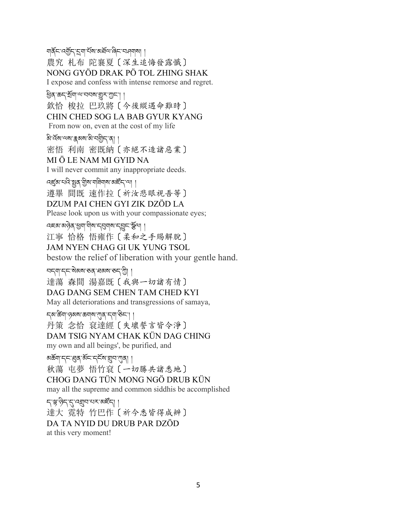গার্ক্রন বর্ত্রন রেশ র্মুখ্য অর্ন্স এন বেশ বিদ্যা 農究 札布 陀襄夏〔深生追悔發露懺〕 NONG GYÖD DRAK PÖ TOL ZHING SHAK I expose and confess with intense remorse and regret.

ৰ্ষ্টিৰ্`ঙ্কন্`ৰ্ষ্ৰ্আ্ম'আন্মৰ্শ্মা ৰা 欽恰 梭拉 巴玖將〔今後縱遇命難時〕 CHIN CHED SOG LA BAB GYUR KYANG From now on, even at the cost of my life

৯'ৰ্বৰাঅম'ক্কৰাম'মী'বজ্ৰীন'ৰা ।

密悟 利南 密既納〔亦絕不造諸惡業〕 MI Ö LE NAM MI GYID NA

I will never commit any inappropriate deeds.

ব্ছেম'থ্বি'ষ্ণুৰ্'গ্ৰীম'যাৰীয়াম'মাৰ্হঁন'্মা ।

遵畢 間既 速作拉〔祈汝悲眼視吾等〕

DZUM PAI CHEN GYI ZIK DZÖD LA

Please look upon us with your compassionate eyes;

འཇམ་མཉེན་dག་གིས་དpགས་ད\ང་èོལ། །

江寧 恰格 悟雍作〔柔和之手賜解脫〕

JAM NYEN CHAG GI UK YUNG TSOL

bestow the relief of liberation with your gentle hand.

ঘন্মান্নজৈমাত্ত্বাস্নমাত্ত্বাণী। 達蕩 森間 湯嘉既〔我與一切諸有情〕 DAG DANG SEM CHEN TAM CHED KYI May all deteriorations and transgressions of samaya,

དམ་ཚ?ག་ཉམས་ཆགས་nན་དག་ཅིང་། ། 丹策 念恰 袞達經〔失壞誓言皆令淨〕 DAM TSIG NYAM CHAK KÜN DAG CHING my own and all beings', be purified, and

अर्क्ष्ण'द्द्द्ध्व्'र्अद्द्द्द्भ्'सुन'र्गुव् 秋蕩 屯夢 悟竹袞〔一切勝共諸悉地〕 CHOG DANG TÜN MONG NGÖ DRUB KÜN may all the supreme and common siddhis be accomplished

<u>၎</u>าลูเลิราราสซีระที่ । 達大 霓特 竹巴作〔祈今悉皆得成辨〕 DA TA NYID DU DRUB PAR DZÖD at this very moment!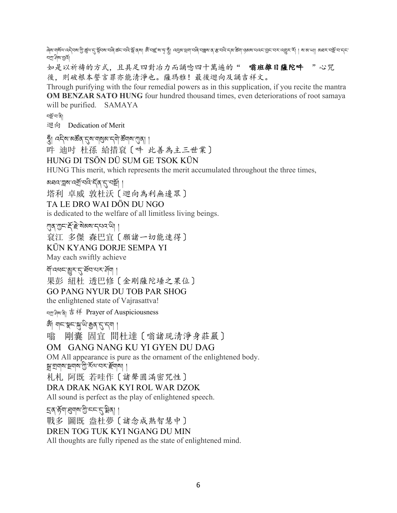ฺदेष'यार्थय'ददेवष'गुे'र्ख्य'र्'ञ्चेवष'यदि'र्क्स'यदे'र्क्म'त्रष| अँ'यह्'ष'मृ'जूँ। दत्तव'यत्वायदि'चङ्गय'र्थ'रक्षण'तत्वायराज्ञान्दा । ब'ग्याण|| अवर'यञ्चे'य'द्रा নস্ৰা' নিম' হাৰ্না

如是以祈禱的方式,且具足四對冶力而誦唸四十萬遍的" 嗡班雜日薩陀吽 "心咒 後,則破根本誓言罪亦能清淨也。薩瑪雅!最後迴向及誦吉祥文。

Through purifying with the four remedial powers as in this supplication, if you recite the mantra **OM BENZAR SATO HUNG** four hundred thousand times, even deteriorations of root samaya will be purified. SAMAYA

བ%ོ་བ་ནི།

迴向 Dedication of Merit

খ্ৰুঁ। বইৰ অৰ্ক্টৰ ব্ৰেম্বাৰ্মুখ বলীক্ষ্মালোৰী ।

吽 迪吋 杜孫 給措袞〔吽 此善為主三世業〕

HUNG DI TSÖN DÜ SUM GE TSOK KÜN

HUNG This merit, which represents the merit accumulated throughout the three times,

अন্নন'ন্নুম'ন্শ্ৰ্'নন্দ্ৰি' (ব'ন্নাৰ্শ্ৰ্' ।

塔利 卓威 敦杜沃〔迴向為利無邊眾〕

TA LE DRO WAI DÖN DU NGO

is dedicated to the welfare of all limitless living beings.

्णव् गुम्नाई हेन्द्रे बेबबादयवाणी

袞江 多傑 森巴宜〔願諸一切能速得〕

KÜN KYANG DORJE SEMPA YI

May each swiftly achieve

গ্যাঁ বেধন'খুম'ন' ইন'থম'ৰ্দ্ৰী ।

果彭 紐杜 透巴修〔金剛薩陀埵之果位〕

GO PANG NYUR DU TOB PAR SHOG

the enlightened state of Vajrasattva!

བN་ཤིས་ནི། 吉祥 Prayer of Auspiciousness

জ্য আৰু স্কুৰাজ্য আৰু স্কুৰাজ্য আৰু

嗡 剛囊 固宜 間杜達〔嗡諸現清淨身莊嚴〕

## OM GANG NANG KU YI GYEN DU DAG

OM All appearance is pure as the ornament of the enlightened body. ন্নাম্ৰানামান্ত্ৰীস্থল কৰা দিৱস্থা

札札 阿既 若哇作〔諸聲圓滿密咒性〕

## DRA DRAK NGAK KYI ROL WAR DZOK

All sound is perfect as the play of enlightened speech.

इव सॅग ह्यावा गुन्दर दुञ्जेवा ।

戰多 圖既 盎杜夢〔諸念成熟智慧中〕

DREN TOG TUK KYI NGANG DU MIN

All thoughts are fully ripened as the state of enlightened mind.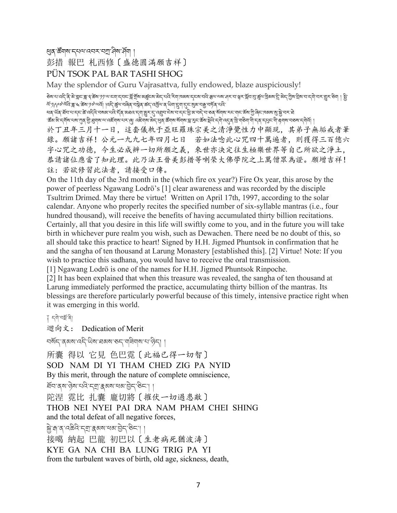ধ্ৰুষ্ক উঁমাৰা ব্যৱসাৰে বিদ্যালী ৷

彭措 報巴 札西修〔盛德圓滿願吉祥〕

## PÜN TSOK PAL BAR TASHI SHOG

May the splendor of Guru Vajrasattva, fully endowed, blaze auspiciously!

ङ्खादा दद्दे, दु.ञ्ज.भ्वाद् अं.अ. अ. अ. स्थादेवादा स्ट्राज्य अर्देदल, अर्ज, स्थाजल, स्थाजल, से साल से अर्थ, अर्<br>स्थादा दद्दे, यु.भ्राज आर्थे, अर्था अर्थ स्थान स्थान स्थान स्थान स्थान स्थान स्थान से अर्थ अर्थ स्थान स्थान َ অ্যাদেক, পূড় দ্রা ক্রয় ১৯. অন্য নির্দু জ্বিন, প্রম্ভুখ প্রদ্ধ প্রায় প্রদা বিনা প্রিন (2) প্রথ এই নেডু ।<br>ব্য

લવ પૉવ ધૅચ વા દ્વારા કે વર્દ્દવ વર્ષો અવા સામારી કો અર્થવ દેખા છે. તે લગ્નો હામારી આ વાને તો કરી આ વાની આ વાની

་ར་རོས་ར་དགོས་པས་ཀུན་ལྱི་རུགས་ལ་འརོགས་པར་ལུ། འརྲིགས་མེད་ཕུན་རརོགས་སོགས་བྱ་རུང་རོས་སྲེལ་འརྲོལ་འྲོལ་ལོ་ན་བྲོལ་བུན་དགོལ་བछས་དགེའོ། |

於丁丑年三月十一日,這套儀軌于亞旺羅珠宗美之清淨覺性力中顯現,其弟子無垢戒者筆 錄。願諸吉祥!公元一九九七年四月七日 若如法唸此心咒四十萬遍者,則獲得三百億六 字心咒之功德,今生必成辨一切所願之義,來世亦決定往生極樂世界等自己所欲之淨土, 恭請諸位應當了知此理。此乃法王晉美彭措等喇榮大佛學院之上萬僧眾為證。願增吉祥! 註:若欲修習此法者,請接受口傳。

On the 11th day of the 3rd month in the (which fire ox year?) Fire Ox year, this arose by the power of peerless Ngawang Lodrö's [1] clear awareness and was recorded by the disciple Tsultrim Drimed. May there be virtue! Written on April 17th, 1997, according to the solar calendar. Anyone who properly recites the specified number of six-syllable mantras (i.e., four hundred thousand), will receive the benefits of having accumulated thirty billion recitations. Certainly, all that you desire in this life will swiftly come to you, and in the future you will take birth in whichever pure realm you wish, such as Dewachen. There need be no doubt of this, so all should take this practice to heart! Signed by H.H. Jigmed Phuntsok in confirmation that he and the sangha of ten thousand at Larung Monastery [established this]. [2] Virtue! Note: If you wish to practice this sadhana, you would have to receive the oral transmission.

[1] Ngawang Lodrö is one of the names for H.H. Jigmed Phuntsok Rinpoche.

[2] It has been explained that when this treasure was revealed, the sangha of ten thousand at Larung immediately performed the practice, accumulating thirty billion of the mantras. Its blessings are therefore particularly powerful because of this timely, intensive practice right when it was emerging in this world.

ঁ নৃণানৰ্শ্ৰ'ৰী

迴向文: Dedication of Merit

བསོད་ནམས་འདི་ཡིས་ཐམས་ཅད་གཟིགས་པ་ཉིད། །

所囊 得以 它見 色巴霓〔此褔已得一切智〕 SOD NAM DI YI THAM CHED ZIG PA NYID By this merit, through the nature of complete omniscience, ইন'ৰ্ম'দ্বিম'ঘৰ্ন'ক্সেম'ৰ্ম'ট্ৰন'ষ্টন'।। 陀涅 霓比 扎囊 龐切將〔摧伏一切過患敵〕 THOB NEI NYEI PAI DRA NAM PHAM CHEI SHING and the total defeat of all negative forces, <u>क्ले</u>'का व 'व क्रेवे' म्या क्षया सबा सेन स्थित। । 接噶 納起 巴龍 初巴以〔生老病死猶波濤〕 KYE GA NA CHI BA LUNG TRIG PA YI from the turbulent waves of birth, old age, sickness, death,